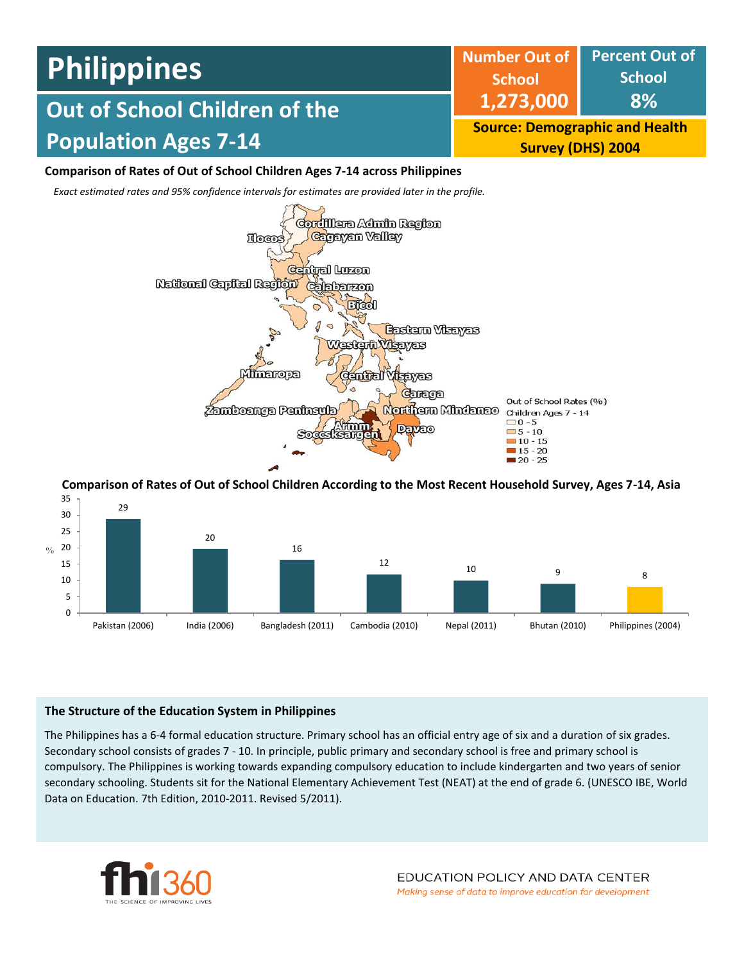#### **Percent Out of School 8% Number Out of School 1,273,000 Source: Demographic and Health Survey (DHS) 2004 Out of School Children of the Population Ages 7-14 Philippines**

# **Comparison of Rates of Out of School Children Ages 7-14 across Philippines**

*Exact estimated rates and 95% confidence intervals for estimates are provided later in the profile.* 



**Comparison of Rates of Out of School Children According to the Most Recent Household Survey, Ages 7-14, Asia**



# **The Structure of the Education System in Philippines**

The Philippines has a 6-4 formal education structure. Primary school has an official entry age of six and a duration of six grades. Secondary school consists of grades 7 - 10. In principle, public primary and secondary school is free and primary school is compulsory. The Philippines is working towards expanding compulsory education to include kindergarten and two years of senior secondary schooling. Students sit for the National Elementary Achievement Test (NEAT) at the end of grade 6. (UNESCO IBE, World Data on Education. 7th Edition, 2010-2011. Revised 5/2011).

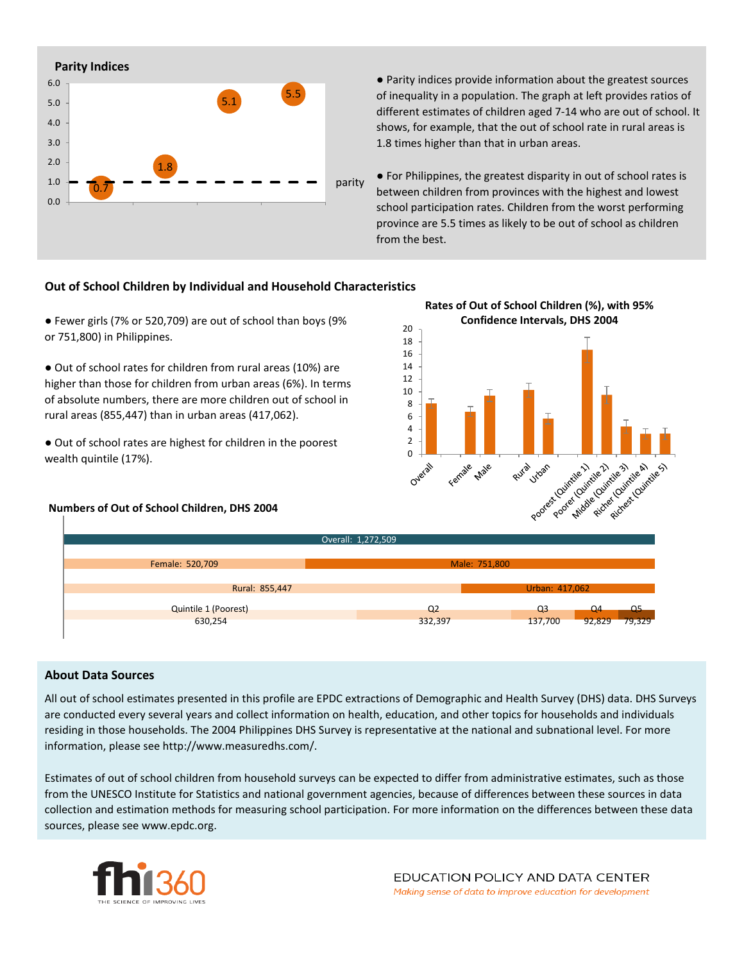

● Parity indices provide information about the greatest sources of inequality in a population. The graph at left provides ratios of different estimates of children aged 7-14 who are out of school. It shows, for example, that the out of school rate in rural areas is 1.8 times higher than that in urban areas.

● For Philippines, the greatest disparity in out of school rates is between children from provinces with the highest and lowest school participation rates. Children from the worst performing province are 5.5 times as likely to be out of school as children from the best.

### **Out of School Children by Individual and Household Characteristics**

● Fewer girls (7% or 520,709) are out of school than boys (9% or 751,800) in Philippines.

● Out of school rates for children from rural areas (10%) are higher than those for children from urban areas (6%). In terms of absolute numbers, there are more children out of school in rural areas (855,447) than in urban areas (417,062).

● Out of school rates are highest for children in the poorest wealth quintile (17%).

#### **Numbers of Out of School Children, DHS 2004**



|                             | Overall: 1,272,509 |                |        |        |  |
|-----------------------------|--------------------|----------------|--------|--------|--|
|                             |                    |                |        |        |  |
| Female: 520,709             | Male: 751,800      |                |        |        |  |
|                             |                    |                |        |        |  |
| Rural: 855,447              | Urban: 417,062     |                |        |        |  |
| <b>Quintile 1 (Poorest)</b> | Q <sub>2</sub>     | Q <sub>3</sub> | Q4     | Q5     |  |
|                             |                    |                |        | 79,329 |  |
| 630,254                     | 332,397            | 137,700        | 92,829 |        |  |

#### **About Data Sources**

All out of school estimates presented in this profile are EPDC extractions of Demographic and Health Survey (DHS) data. DHS Surveys are conducted every several years and collect information on health, education, and other topics for households and individuals residing in those households. The 2004 Philippines DHS Survey is representative at the national and subnational level. For more information, please see http://www.measuredhs.com/.

Estimates of out of school children from household surveys can be expected to differ from administrative estimates, such as those from the UNESCO Institute for Statistics and national government agencies, because of differences between these sources in data collection and estimation methods for measuring school participation. For more information on the differences between these data sources, please see www.epdc.org.

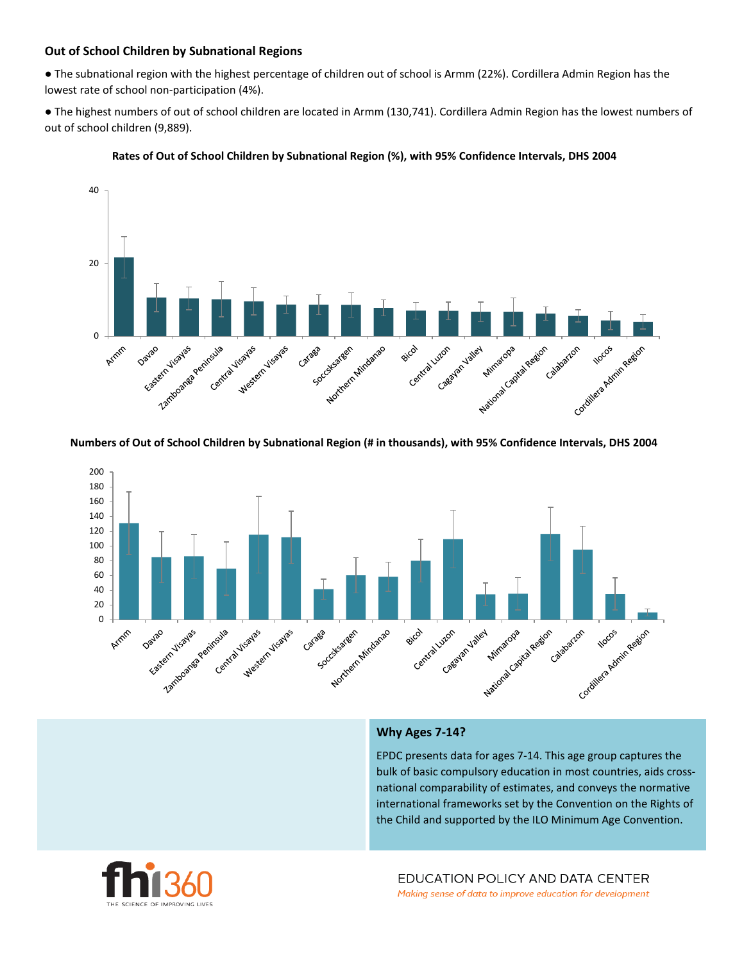# **Out of School Children by Subnational Regions**

● The subnational region with the highest percentage of children out of school is Armm (22%). Cordillera Admin Region has the lowest rate of school non-participation (4%).

● The highest numbers of out of school children are located in Armm (130,741). Cordillera Admin Region has the lowest numbers of out of school children (9,889).





#### **Numbers of Out of School Children by Subnational Region (# in thousands), with 95% Confidence Intervals, DHS 2004**



#### **Why Ages 7-14?**

EPDC presents data for ages 7-14. This age group captures the bulk of basic compulsory education in most countries, aids crossnational comparability of estimates, and conveys the normative international frameworks set by the Convention on the Rights of the Child and supported by the ILO Minimum Age Convention.

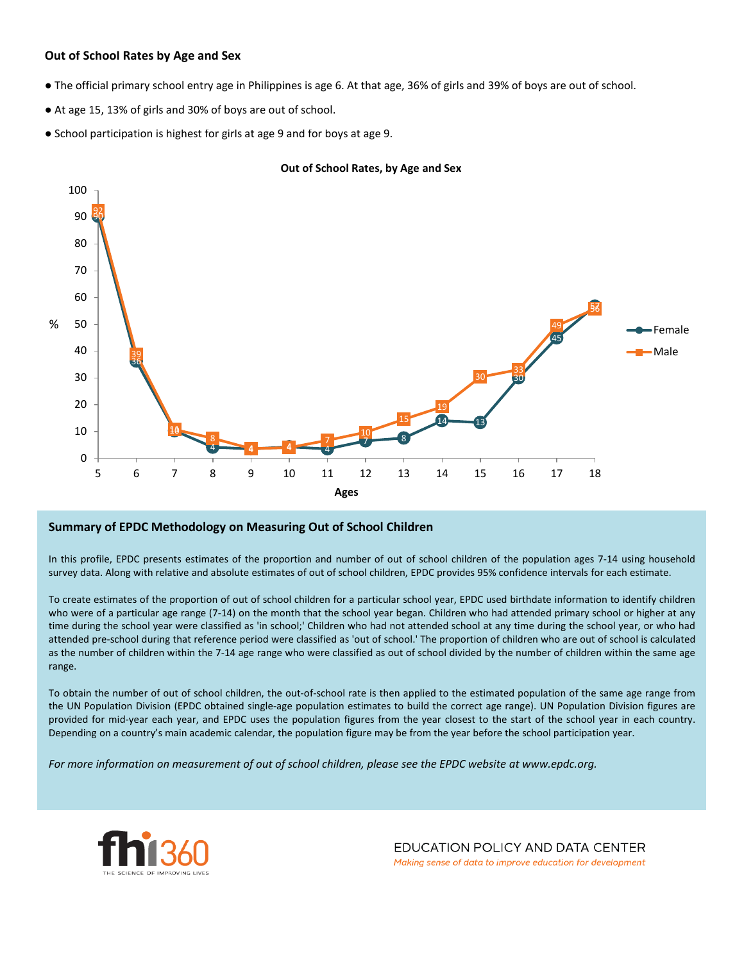### **Out of School Rates by Age and Sex**

- The official primary school entry age in Philippines is age 6. At that age, 36% of girls and 39% of boys are out of school.
- At age 15, 13% of girls and 30% of boys are out of school.
- School participation is highest for girls at age 9 and for boys at age 9.



#### **Out of School Rates, by Age and Sex**

#### **Summary of EPDC Methodology on Measuring Out of School Children**

In this profile, EPDC presents estimates of the proportion and number of out of school children of the population ages 7-14 using household survey data. Along with relative and absolute estimates of out of school children, EPDC provides 95% confidence intervals for each estimate.

To create estimates of the proportion of out of school children for a particular school year, EPDC used birthdate information to identify children who were of a particular age range (7-14) on the month that the school year began. Children who had attended primary school or higher at any time during the school year were classified as 'in school;' Children who had not attended school at any time during the school year, or who had attended pre-school during that reference period were classified as 'out of school.' The proportion of children who are out of school is calculated as the number of children within the 7-14 age range who were classified as out of school divided by the number of children within the same age range.

To obtain the number of out of school children, the out-of-school rate is then applied to the estimated population of the same age range from the UN Population Division (EPDC obtained single-age population estimates to build the correct age range). UN Population Division figures are provided for mid-year each year, and EPDC uses the population figures from the year closest to the start of the school year in each country. Depending on a country's main academic calendar, the population figure may be from the year before the school participation year.

For more information on measurement of out of school children, please see the EPDC website at www.epdc.org.



EDUCATION POLICY AND DATA CENTER Making sense of data to improve education for development